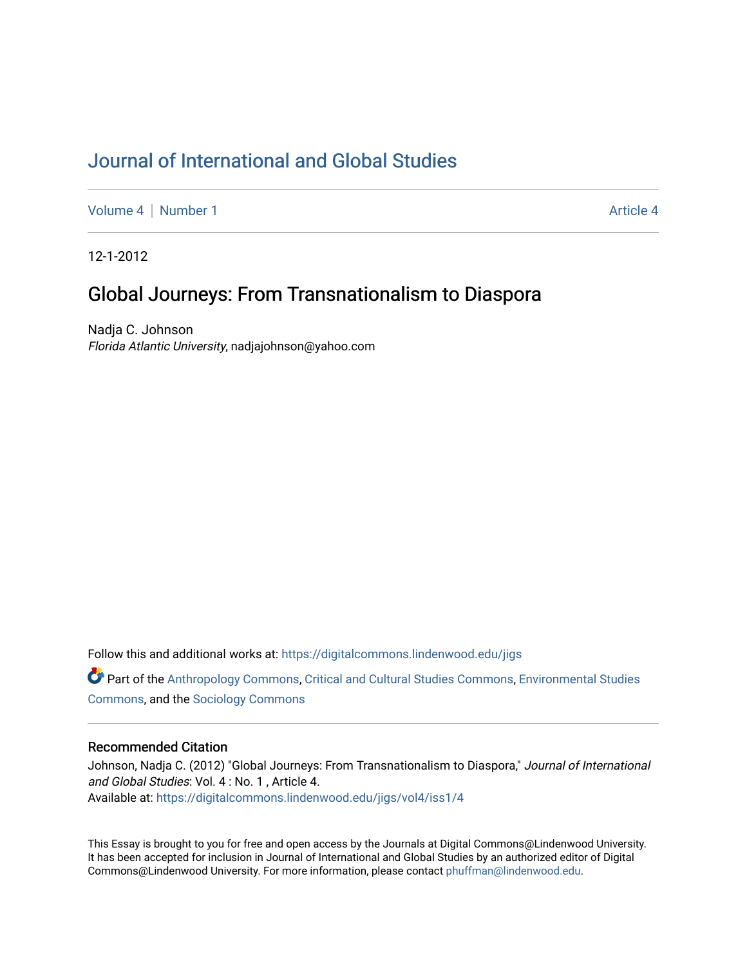# [Journal of International and Global Studies](https://digitalcommons.lindenwood.edu/jigs)

[Volume 4](https://digitalcommons.lindenwood.edu/jigs/vol4) | [Number 1](https://digitalcommons.lindenwood.edu/jigs/vol4/iss1) Article 4

12-1-2012

## Global Journeys: From Transnationalism to Diaspora

Nadja C. Johnson Florida Atlantic University, nadjajohnson@yahoo.com

Follow this and additional works at: [https://digitalcommons.lindenwood.edu/jigs](https://digitalcommons.lindenwood.edu/jigs?utm_source=digitalcommons.lindenwood.edu%2Fjigs%2Fvol4%2Fiss1%2F4&utm_medium=PDF&utm_campaign=PDFCoverPages) 

**C** Part of the [Anthropology Commons](http://network.bepress.com/hgg/discipline/318?utm_source=digitalcommons.lindenwood.edu%2Fjigs%2Fvol4%2Fiss1%2F4&utm_medium=PDF&utm_campaign=PDFCoverPages), [Critical and Cultural Studies Commons](http://network.bepress.com/hgg/discipline/328?utm_source=digitalcommons.lindenwood.edu%2Fjigs%2Fvol4%2Fiss1%2F4&utm_medium=PDF&utm_campaign=PDFCoverPages), Environmental Studies [Commons](http://network.bepress.com/hgg/discipline/1333?utm_source=digitalcommons.lindenwood.edu%2Fjigs%2Fvol4%2Fiss1%2F4&utm_medium=PDF&utm_campaign=PDFCoverPages), and the [Sociology Commons](http://network.bepress.com/hgg/discipline/416?utm_source=digitalcommons.lindenwood.edu%2Fjigs%2Fvol4%2Fiss1%2F4&utm_medium=PDF&utm_campaign=PDFCoverPages)

## Recommended Citation

Johnson, Nadja C. (2012) "Global Journeys: From Transnationalism to Diaspora," Journal of International and Global Studies: Vol. 4 : No. 1 , Article 4. Available at: [https://digitalcommons.lindenwood.edu/jigs/vol4/iss1/4](https://digitalcommons.lindenwood.edu/jigs/vol4/iss1/4?utm_source=digitalcommons.lindenwood.edu%2Fjigs%2Fvol4%2Fiss1%2F4&utm_medium=PDF&utm_campaign=PDFCoverPages)

This Essay is brought to you for free and open access by the Journals at Digital Commons@Lindenwood University. It has been accepted for inclusion in Journal of International and Global Studies by an authorized editor of Digital Commons@Lindenwood University. For more information, please contact [phuffman@lindenwood.edu](mailto:phuffman@lindenwood.edu).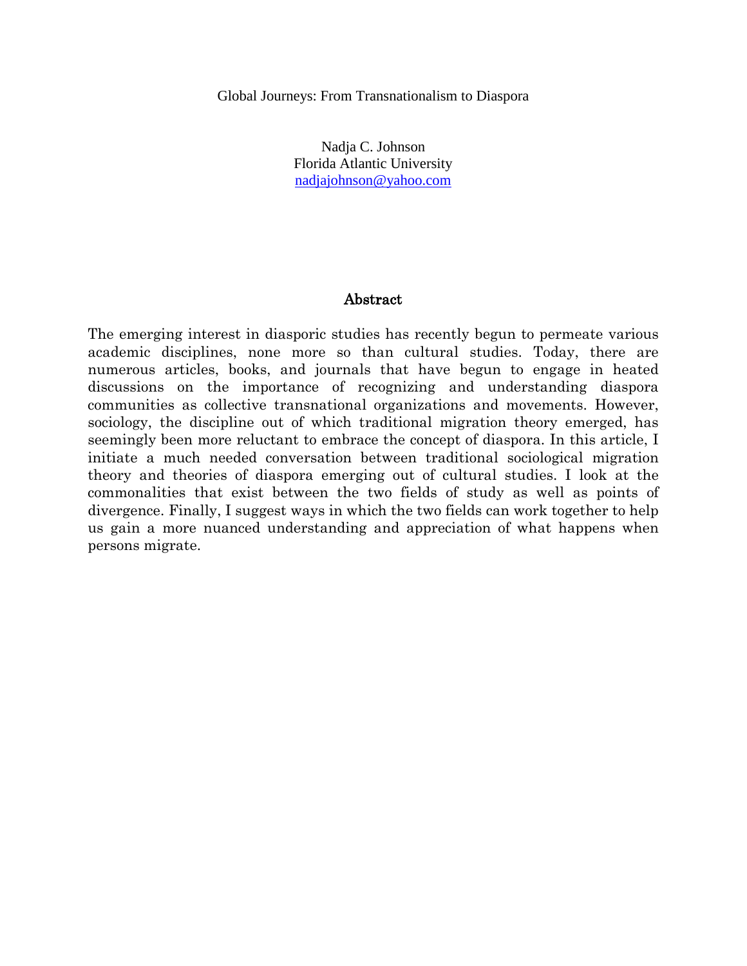Global Journeys: From Transnationalism to Diaspora

Nadja C. Johnson Florida Atlantic University [nadjajohnson@yahoo.com](mailto:nadjajohnson@yahoo.com)

## Abstract

The emerging interest in diasporic studies has recently begun to permeate various academic disciplines, none more so than cultural studies. Today, there are numerous articles, books, and journals that have begun to engage in heated discussions on the importance of recognizing and understanding diaspora communities as collective transnational organizations and movements. However, sociology, the discipline out of which traditional migration theory emerged, has seemingly been more reluctant to embrace the concept of diaspora. In this article, I initiate a much needed conversation between traditional sociological migration theory and theories of diaspora emerging out of cultural studies. I look at the commonalities that exist between the two fields of study as well as points of divergence. Finally, I suggest ways in which the two fields can work together to help us gain a more nuanced understanding and appreciation of what happens when persons migrate.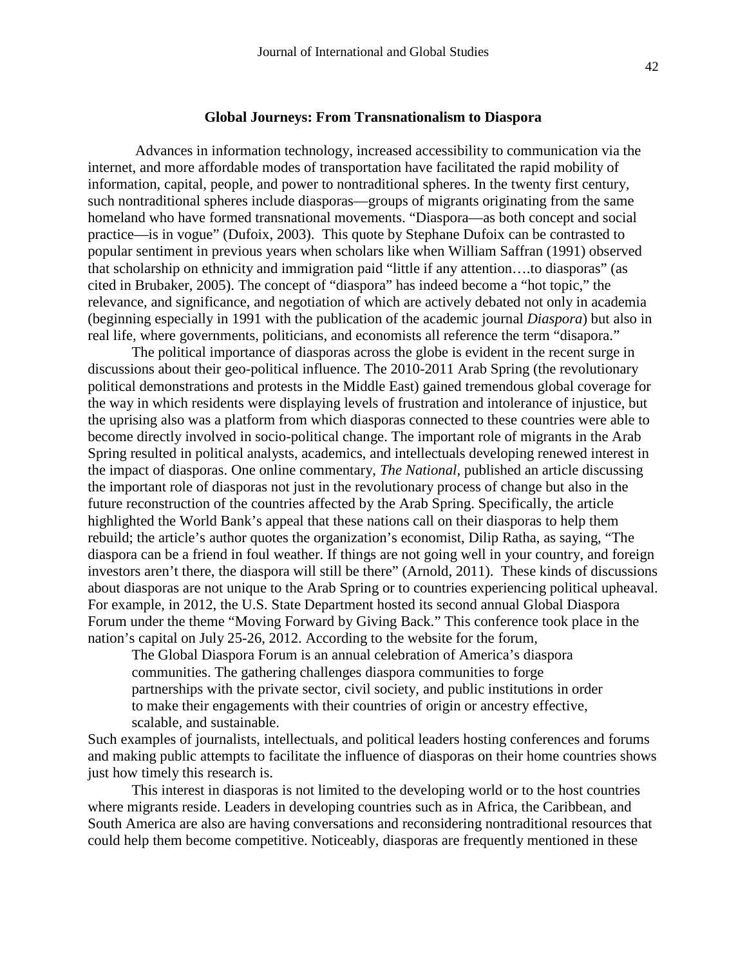#### **Global Journeys: From Transnationalism to Diaspora**

 Advances in information technology, increased accessibility to communication via the internet, and more affordable modes of transportation have facilitated the rapid mobility of information, capital, people, and power to nontraditional spheres. In the twenty first century, such nontraditional spheres include diasporas—groups of migrants originating from the same homeland who have formed transnational movements. "Diaspora—as both concept and social practice—is in vogue" (Dufoix, 2003). This quote by Stephane Dufoix can be contrasted to popular sentiment in previous years when scholars like when William Saffran (1991) observed that scholarship on ethnicity and immigration paid "little if any attention….to diasporas" (as cited in Brubaker, 2005). The concept of "diaspora" has indeed become a "hot topic," the relevance, and significance, and negotiation of which are actively debated not only in academia (beginning especially in 1991 with the publication of the academic journal *Diaspora*) but also in real life, where governments, politicians, and economists all reference the term "disapora."

The political importance of diasporas across the globe is evident in the recent surge in discussions about their geo-political influence. The 2010-2011 Arab Spring (the revolutionary political demonstrations and protests in the Middle East) gained tremendous global coverage for the way in which residents were displaying levels of frustration and intolerance of injustice, but the uprising also was a platform from which diasporas connected to these countries were able to become directly involved in socio-political change. The important role of migrants in the Arab Spring resulted in political analysts, academics, and intellectuals developing renewed interest in the impact of diasporas. One online commentary, *The National*, published an article discussing the important role of diasporas not just in the revolutionary process of change but also in the future reconstruction of the countries affected by the Arab Spring. Specifically, the article highlighted the World Bank's appeal that these nations call on their diasporas to help them rebuild; the article's author quotes the organization's economist, Dilip Ratha, as saying, "The diaspora can be a friend in foul weather. If things are not going well in your country, and foreign investors aren't there, the diaspora will still be there" (Arnold, 2011). These kinds of discussions about diasporas are not unique to the Arab Spring or to countries experiencing political upheaval. For example, in 2012, the U.S. State Department hosted its second annual Global Diaspora Forum under the theme "Moving Forward by Giving Back." This conference took place in the nation's capital on July 25-26, 2012. According to the website for the forum,

The Global Diaspora Forum is an annual celebration of America's diaspora communities. The gathering challenges diaspora communities to forge partnerships with the private sector, civil society, and public institutions in order to make their engagements with their countries of origin or ancestry effective, scalable, and sustainable.

Such examples of journalists, intellectuals, and political leaders hosting conferences and forums and making public attempts to facilitate the influence of diasporas on their home countries shows just how timely this research is.

This interest in diasporas is not limited to the developing world or to the host countries where migrants reside. Leaders in developing countries such as in Africa, the Caribbean, and South America are also are having conversations and reconsidering nontraditional resources that could help them become competitive. Noticeably, diasporas are frequently mentioned in these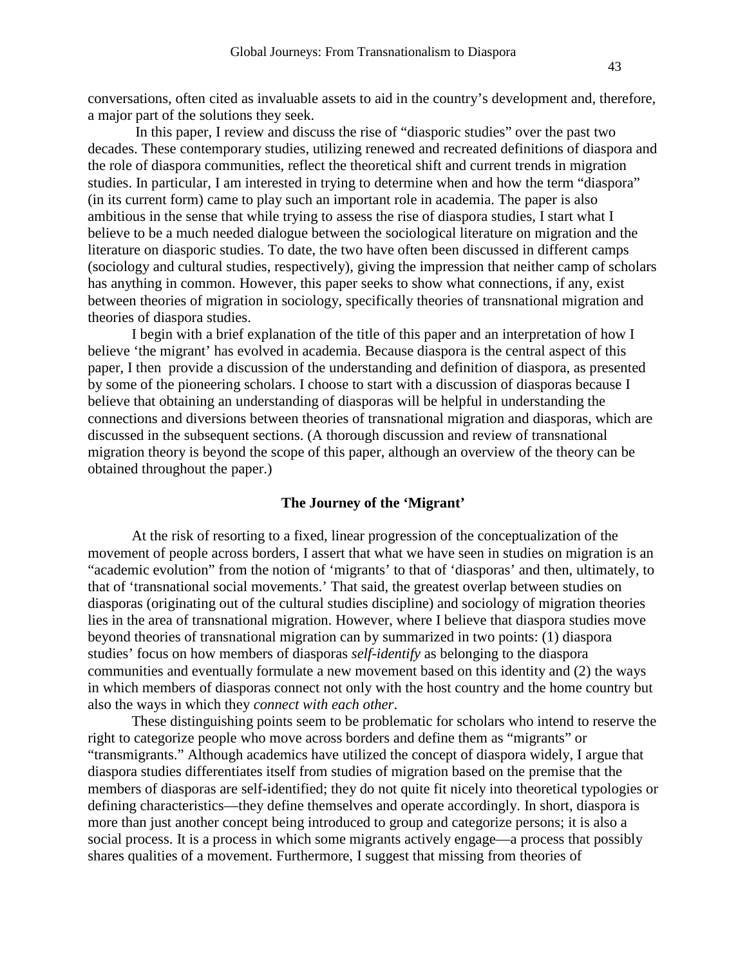conversations, often cited as invaluable assets to aid in the country's development and, therefore, a major part of the solutions they seek.

 In this paper, I review and discuss the rise of "diasporic studies" over the past two decades. These contemporary studies, utilizing renewed and recreated definitions of diaspora and the role of diaspora communities, reflect the theoretical shift and current trends in migration studies. In particular, I am interested in trying to determine when and how the term "diaspora" (in its current form) came to play such an important role in academia. The paper is also ambitious in the sense that while trying to assess the rise of diaspora studies, I start what I believe to be a much needed dialogue between the sociological literature on migration and the literature on diasporic studies. To date, the two have often been discussed in different camps (sociology and cultural studies, respectively), giving the impression that neither camp of scholars has anything in common. However, this paper seeks to show what connections, if any, exist between theories of migration in sociology, specifically theories of transnational migration and theories of diaspora studies.

I begin with a brief explanation of the title of this paper and an interpretation of how I believe 'the migrant' has evolved in academia. Because diaspora is the central aspect of this paper, I then provide a discussion of the understanding and definition of diaspora, as presented by some of the pioneering scholars. I choose to start with a discussion of diasporas because I believe that obtaining an understanding of diasporas will be helpful in understanding the connections and diversions between theories of transnational migration and diasporas, which are discussed in the subsequent sections. (A thorough discussion and review of transnational migration theory is beyond the scope of this paper, although an overview of the theory can be obtained throughout the paper.)

## **The Journey of the 'Migrant'**

At the risk of resorting to a fixed, linear progression of the conceptualization of the movement of people across borders, I assert that what we have seen in studies on migration is an "academic evolution" from the notion of 'migrants' to that of 'diasporas' and then, ultimately, to that of 'transnational social movements.' That said, the greatest overlap between studies on diasporas (originating out of the cultural studies discipline) and sociology of migration theories lies in the area of transnational migration. However, where I believe that diaspora studies move beyond theories of transnational migration can by summarized in two points: (1) diaspora studies' focus on how members of diasporas *self-identify* as belonging to the diaspora communities and eventually formulate a new movement based on this identity and (2) the ways in which members of diasporas connect not only with the host country and the home country but also the ways in which they *connect with each other*.

These distinguishing points seem to be problematic for scholars who intend to reserve the right to categorize people who move across borders and define them as "migrants" or "transmigrants." Although academics have utilized the concept of diaspora widely, I argue that diaspora studies differentiates itself from studies of migration based on the premise that the members of diasporas are self-identified; they do not quite fit nicely into theoretical typologies or defining characteristics—they define themselves and operate accordingly. In short, diaspora is more than just another concept being introduced to group and categorize persons; it is also a social process. It is a process in which some migrants actively engage—a process that possibly shares qualities of a movement. Furthermore, I suggest that missing from theories of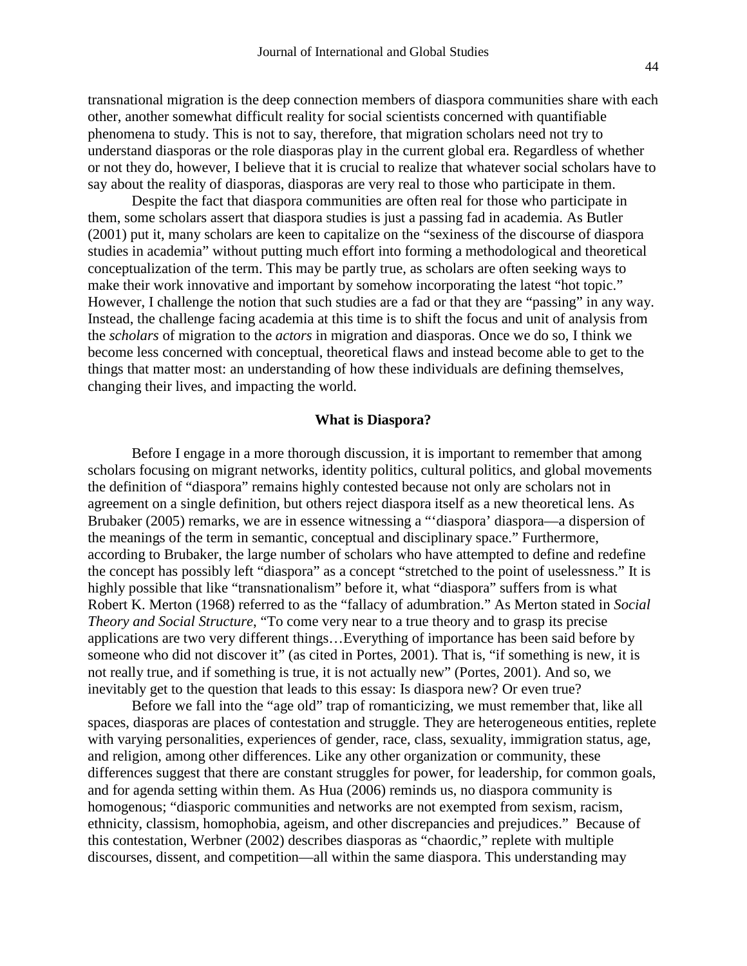transnational migration is the deep connection members of diaspora communities share with each other, another somewhat difficult reality for social scientists concerned with quantifiable phenomena to study. This is not to say, therefore, that migration scholars need not try to understand diasporas or the role diasporas play in the current global era. Regardless of whether or not they do, however, I believe that it is crucial to realize that whatever social scholars have to say about the reality of diasporas, diasporas are very real to those who participate in them.

Despite the fact that diaspora communities are often real for those who participate in them, some scholars assert that diaspora studies is just a passing fad in academia. As Butler (2001) put it, many scholars are keen to capitalize on the "sexiness of the discourse of diaspora studies in academia" without putting much effort into forming a methodological and theoretical conceptualization of the term. This may be partly true, as scholars are often seeking ways to make their work innovative and important by somehow incorporating the latest "hot topic." However, I challenge the notion that such studies are a fad or that they are "passing" in any way. Instead, the challenge facing academia at this time is to shift the focus and unit of analysis from the *scholars* of migration to the *actors* in migration and diasporas. Once we do so, I think we become less concerned with conceptual, theoretical flaws and instead become able to get to the things that matter most: an understanding of how these individuals are defining themselves, changing their lives, and impacting the world.

#### **What is Diaspora?**

Before I engage in a more thorough discussion, it is important to remember that among scholars focusing on migrant networks, identity politics, cultural politics, and global movements the definition of "diaspora" remains highly contested because not only are scholars not in agreement on a single definition, but others reject diaspora itself as a new theoretical lens. As Brubaker (2005) remarks, we are in essence witnessing a "'diaspora' diaspora—a dispersion of the meanings of the term in semantic, conceptual and disciplinary space." Furthermore, according to Brubaker, the large number of scholars who have attempted to define and redefine the concept has possibly left "diaspora" as a concept "stretched to the point of uselessness." It is highly possible that like "transnationalism" before it, what "diaspora" suffers from is what Robert K. Merton (1968) referred to as the "fallacy of adumbration." As Merton stated in *Social Theory and Social Structure*, "To come very near to a true theory and to grasp its precise applications are two very different things…Everything of importance has been said before by someone who did not discover it" (as cited in Portes, 2001). That is, "if something is new, it is not really true, and if something is true, it is not actually new" (Portes, 2001). And so, we inevitably get to the question that leads to this essay: Is diaspora new? Or even true?

Before we fall into the "age old" trap of romanticizing, we must remember that, like all spaces, diasporas are places of contestation and struggle. They are heterogeneous entities, replete with varying personalities, experiences of gender, race, class, sexuality, immigration status, age, and religion, among other differences. Like any other organization or community, these differences suggest that there are constant struggles for power, for leadership, for common goals, and for agenda setting within them. As Hua (2006) reminds us, no diaspora community is homogenous; "diasporic communities and networks are not exempted from sexism, racism, ethnicity, classism, homophobia, ageism, and other discrepancies and prejudices." Because of this contestation, Werbner (2002) describes diasporas as "chaordic," replete with multiple discourses, dissent, and competition—all within the same diaspora. This understanding may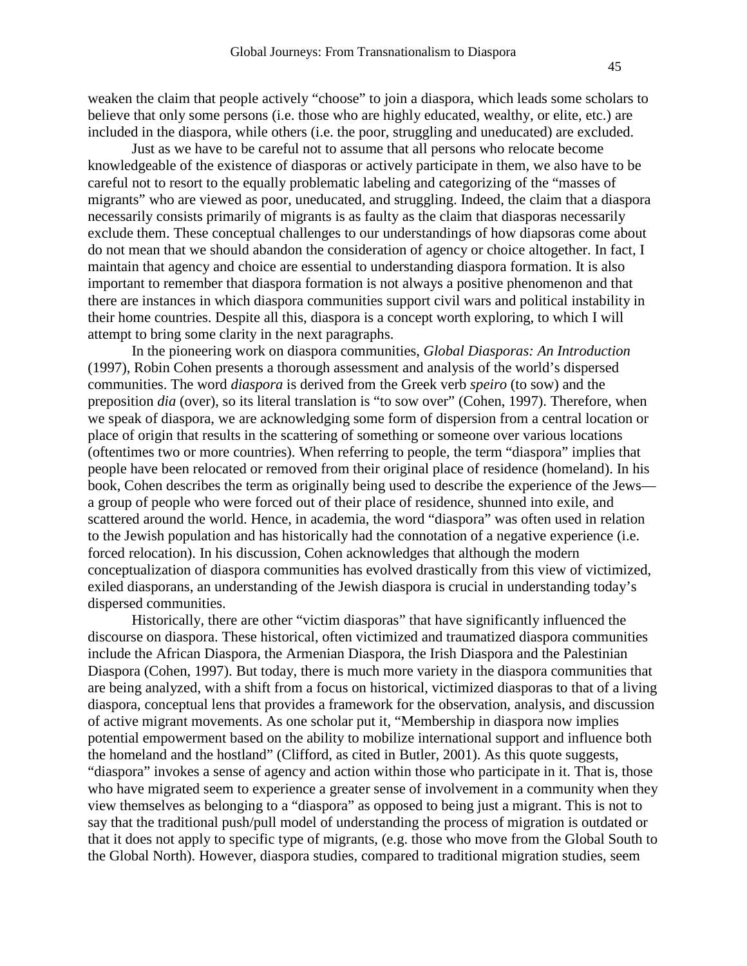weaken the claim that people actively "choose" to join a diaspora, which leads some scholars to believe that only some persons (i.e. those who are highly educated, wealthy, or elite, etc.) are included in the diaspora, while others (i.e. the poor, struggling and uneducated) are excluded.

Just as we have to be careful not to assume that all persons who relocate become knowledgeable of the existence of diasporas or actively participate in them, we also have to be careful not to resort to the equally problematic labeling and categorizing of the "masses of migrants" who are viewed as poor, uneducated, and struggling. Indeed, the claim that a diaspora necessarily consists primarily of migrants is as faulty as the claim that diasporas necessarily exclude them. These conceptual challenges to our understandings of how diapsoras come about do not mean that we should abandon the consideration of agency or choice altogether. In fact, I maintain that agency and choice are essential to understanding diaspora formation. It is also important to remember that diaspora formation is not always a positive phenomenon and that there are instances in which diaspora communities support civil wars and political instability in their home countries. Despite all this, diaspora is a concept worth exploring, to which I will attempt to bring some clarity in the next paragraphs.

In the pioneering work on diaspora communities, *Global Diasporas: An Introduction*  (1997), Robin Cohen presents a thorough assessment and analysis of the world's dispersed communities. The word *diaspora* is derived from the Greek verb *speiro* (to sow) and the preposition *dia* (over), so its literal translation is "to sow over" (Cohen, 1997). Therefore, when we speak of diaspora, we are acknowledging some form of dispersion from a central location or place of origin that results in the scattering of something or someone over various locations (oftentimes two or more countries). When referring to people, the term "diaspora" implies that people have been relocated or removed from their original place of residence (homeland). In his book, Cohen describes the term as originally being used to describe the experience of the Jews a group of people who were forced out of their place of residence, shunned into exile, and scattered around the world. Hence, in academia, the word "diaspora" was often used in relation to the Jewish population and has historically had the connotation of a negative experience (i.e. forced relocation). In his discussion, Cohen acknowledges that although the modern conceptualization of diaspora communities has evolved drastically from this view of victimized, exiled diasporans, an understanding of the Jewish diaspora is crucial in understanding today's dispersed communities.

Historically, there are other "victim diasporas" that have significantly influenced the discourse on diaspora. These historical, often victimized and traumatized diaspora communities include the African Diaspora, the Armenian Diaspora, the Irish Diaspora and the Palestinian Diaspora (Cohen, 1997). But today, there is much more variety in the diaspora communities that are being analyzed, with a shift from a focus on historical, victimized diasporas to that of a living diaspora, conceptual lens that provides a framework for the observation, analysis, and discussion of active migrant movements. As one scholar put it, "Membership in diaspora now implies potential empowerment based on the ability to mobilize international support and influence both the homeland and the hostland" (Clifford, as cited in Butler, 2001). As this quote suggests, "diaspora" invokes a sense of agency and action within those who participate in it. That is, those who have migrated seem to experience a greater sense of involvement in a community when they view themselves as belonging to a "diaspora" as opposed to being just a migrant. This is not to say that the traditional push/pull model of understanding the process of migration is outdated or that it does not apply to specific type of migrants, (e.g. those who move from the Global South to the Global North). However, diaspora studies, compared to traditional migration studies, seem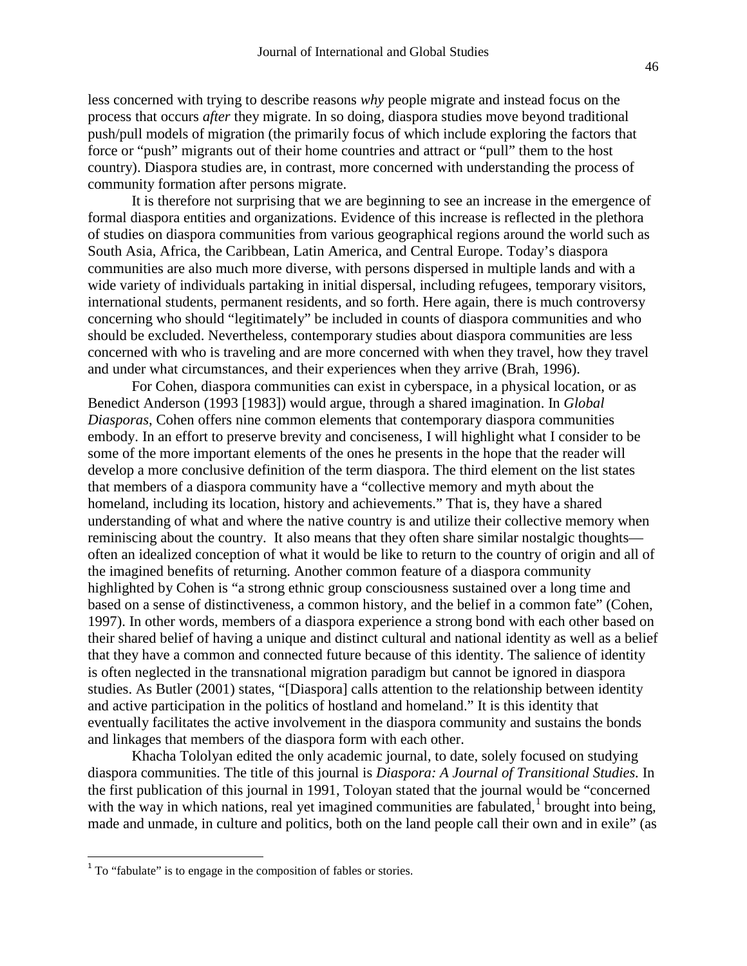less concerned with trying to describe reasons *why* people migrate and instead focus on the process that occurs *after* they migrate. In so doing, diaspora studies move beyond traditional push/pull models of migration (the primarily focus of which include exploring the factors that force or "push" migrants out of their home countries and attract or "pull" them to the host country). Diaspora studies are, in contrast, more concerned with understanding the process of community formation after persons migrate.

It is therefore not surprising that we are beginning to see an increase in the emergence of formal diaspora entities and organizations. Evidence of this increase is reflected in the plethora of studies on diaspora communities from various geographical regions around the world such as South Asia, Africa, the Caribbean, Latin America, and Central Europe. Today's diaspora communities are also much more diverse, with persons dispersed in multiple lands and with a wide variety of individuals partaking in initial dispersal, including refugees, temporary visitors, international students, permanent residents, and so forth. Here again, there is much controversy concerning who should "legitimately" be included in counts of diaspora communities and who should be excluded. Nevertheless, contemporary studies about diaspora communities are less concerned with who is traveling and are more concerned with when they travel, how they travel and under what circumstances, and their experiences when they arrive (Brah, 1996).

For Cohen, diaspora communities can exist in cyberspace, in a physical location, or as Benedict Anderson (1993 [1983]) would argue, through a shared imagination. In *Global Diasporas*, Cohen offers nine common elements that contemporary diaspora communities embody. In an effort to preserve brevity and conciseness, I will highlight what I consider to be some of the more important elements of the ones he presents in the hope that the reader will develop a more conclusive definition of the term diaspora. The third element on the list states that members of a diaspora community have a "collective memory and myth about the homeland, including its location, history and achievements." That is, they have a shared understanding of what and where the native country is and utilize their collective memory when reminiscing about the country. It also means that they often share similar nostalgic thoughts often an idealized conception of what it would be like to return to the country of origin and all of the imagined benefits of returning. Another common feature of a diaspora community highlighted by Cohen is "a strong ethnic group consciousness sustained over a long time and based on a sense of distinctiveness, a common history, and the belief in a common fate" (Cohen, 1997). In other words, members of a diaspora experience a strong bond with each other based on their shared belief of having a unique and distinct cultural and national identity as well as a belief that they have a common and connected future because of this identity. The salience of identity is often neglected in the transnational migration paradigm but cannot be ignored in diaspora studies. As Butler (2001) states, "[Diaspora] calls attention to the relationship between identity and active participation in the politics of hostland and homeland." It is this identity that eventually facilitates the active involvement in the diaspora community and sustains the bonds and linkages that members of the diaspora form with each other.

Khacha Tololyan edited the only academic journal, to date, solely focused on studying diaspora communities. The title of this journal is *Diaspora: A Journal of Transitional Studies.* In the first publication of this journal in 1991, Toloyan stated that the journal would be "concerned with the way in which nations, real yet imagined communities are fabulated, $<sup>1</sup>$  $<sup>1</sup>$  $<sup>1</sup>$  brought into being,</sup> made and unmade, in culture and politics, both on the land people call their own and in exile" (as

 $\overline{a}$ 

<span id="page-6-0"></span> $1$  To "fabulate" is to engage in the composition of fables or stories.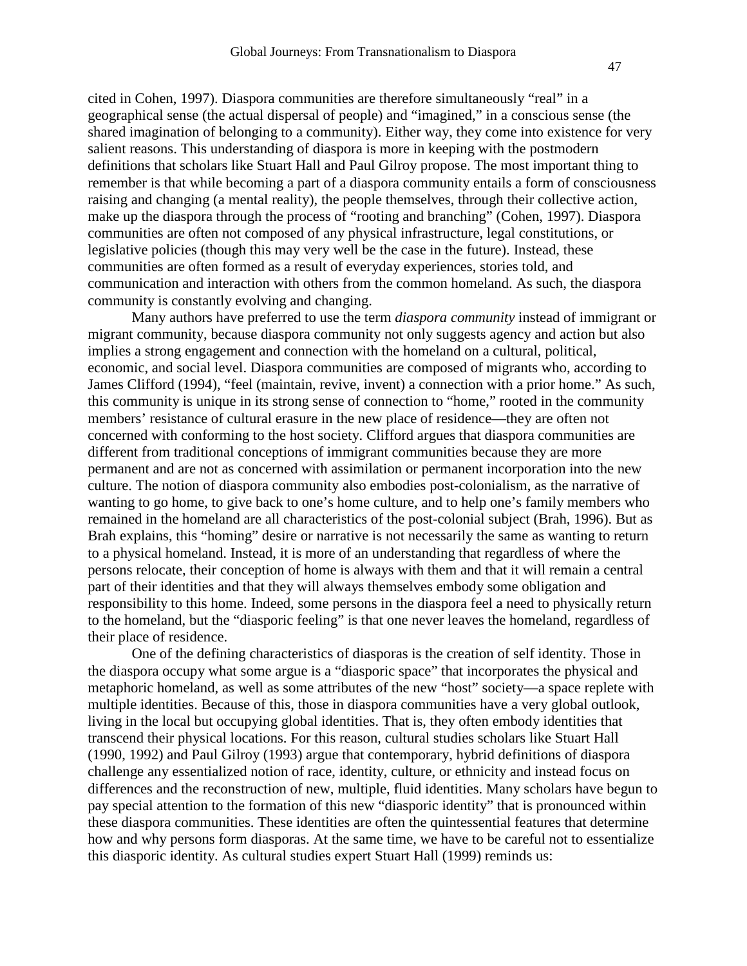cited in Cohen, 1997). Diaspora communities are therefore simultaneously "real" in a geographical sense (the actual dispersal of people) and "imagined," in a conscious sense (the shared imagination of belonging to a community). Either way, they come into existence for very salient reasons. This understanding of diaspora is more in keeping with the postmodern definitions that scholars like Stuart Hall and Paul Gilroy propose. The most important thing to remember is that while becoming a part of a diaspora community entails a form of consciousness raising and changing (a mental reality), the people themselves, through their collective action, make up the diaspora through the process of "rooting and branching" (Cohen, 1997). Diaspora communities are often not composed of any physical infrastructure, legal constitutions, or legislative policies (though this may very well be the case in the future). Instead, these communities are often formed as a result of everyday experiences, stories told, and communication and interaction with others from the common homeland. As such, the diaspora community is constantly evolving and changing.

Many authors have preferred to use the term *diaspora community* instead of immigrant or migrant community, because diaspora community not only suggests agency and action but also implies a strong engagement and connection with the homeland on a cultural, political, economic, and social level. Diaspora communities are composed of migrants who, according to James Clifford (1994), "feel (maintain, revive, invent) a connection with a prior home." As such, this community is unique in its strong sense of connection to "home," rooted in the community members' resistance of cultural erasure in the new place of residence—they are often not concerned with conforming to the host society. Clifford argues that diaspora communities are different from traditional conceptions of immigrant communities because they are more permanent and are not as concerned with assimilation or permanent incorporation into the new culture. The notion of diaspora community also embodies post-colonialism, as the narrative of wanting to go home, to give back to one's home culture, and to help one's family members who remained in the homeland are all characteristics of the post-colonial subject (Brah, 1996). But as Brah explains, this "homing" desire or narrative is not necessarily the same as wanting to return to a physical homeland. Instead, it is more of an understanding that regardless of where the persons relocate, their conception of home is always with them and that it will remain a central part of their identities and that they will always themselves embody some obligation and responsibility to this home. Indeed, some persons in the diaspora feel a need to physically return to the homeland, but the "diasporic feeling" is that one never leaves the homeland, regardless of their place of residence.

One of the defining characteristics of diasporas is the creation of self identity. Those in the diaspora occupy what some argue is a "diasporic space" that incorporates the physical and metaphoric homeland, as well as some attributes of the new "host" society—a space replete with multiple identities. Because of this, those in diaspora communities have a very global outlook, living in the local but occupying global identities. That is, they often embody identities that transcend their physical locations. For this reason, cultural studies scholars like Stuart Hall (1990, 1992) and Paul Gilroy (1993) argue that contemporary, hybrid definitions of diaspora challenge any essentialized notion of race, identity, culture, or ethnicity and instead focus on differences and the reconstruction of new, multiple, fluid identities. Many scholars have begun to pay special attention to the formation of this new "diasporic identity" that is pronounced within these diaspora communities. These identities are often the quintessential features that determine how and why persons form diasporas. At the same time, we have to be careful not to essentialize this diasporic identity. As cultural studies expert Stuart Hall (1999) reminds us: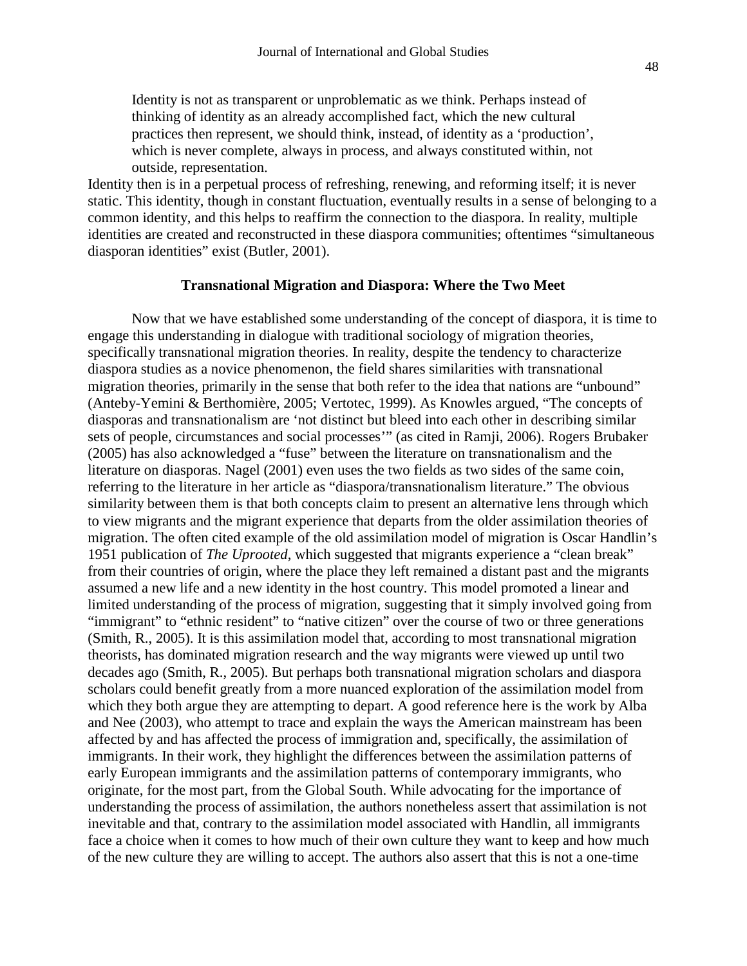Identity is not as transparent or unproblematic as we think. Perhaps instead of thinking of identity as an already accomplished fact, which the new cultural practices then represent, we should think, instead, of identity as a 'production', which is never complete, always in process, and always constituted within, not outside, representation.

Identity then is in a perpetual process of refreshing, renewing, and reforming itself; it is never static. This identity, though in constant fluctuation, eventually results in a sense of belonging to a common identity, and this helps to reaffirm the connection to the diaspora. In reality, multiple identities are created and reconstructed in these diaspora communities; oftentimes "simultaneous diasporan identities" exist (Butler, 2001).

#### **Transnational Migration and Diaspora: Where the Two Meet**

Now that we have established some understanding of the concept of diaspora, it is time to engage this understanding in dialogue with traditional sociology of migration theories, specifically transnational migration theories. In reality, despite the tendency to characterize diaspora studies as a novice phenomenon, the field shares similarities with transnational migration theories, primarily in the sense that both refer to the idea that nations are "unbound" (Anteby-Yemini & Berthomière, 2005; Vertotec, 1999). As Knowles argued, "The concepts of diasporas and transnationalism are 'not distinct but bleed into each other in describing similar sets of people, circumstances and social processes'" (as cited in Ramji, 2006). Rogers Brubaker (2005) has also acknowledged a "fuse" between the literature on transnationalism and the literature on diasporas. Nagel (2001) even uses the two fields as two sides of the same coin, referring to the literature in her article as "diaspora/transnationalism literature." The obvious similarity between them is that both concepts claim to present an alternative lens through which to view migrants and the migrant experience that departs from the older assimilation theories of migration. The often cited example of the old assimilation model of migration is Oscar Handlin's 1951 publication of *The Uprooted*, which suggested that migrants experience a "clean break" from their countries of origin, where the place they left remained a distant past and the migrants assumed a new life and a new identity in the host country. This model promoted a linear and limited understanding of the process of migration, suggesting that it simply involved going from "immigrant" to "ethnic resident" to "native citizen" over the course of two or three generations (Smith, R., 2005). It is this assimilation model that, according to most transnational migration theorists, has dominated migration research and the way migrants were viewed up until two decades ago (Smith, R., 2005). But perhaps both transnational migration scholars and diaspora scholars could benefit greatly from a more nuanced exploration of the assimilation model from which they both argue they are attempting to depart. A good reference here is the work by Alba and Nee (2003), who attempt to trace and explain the ways the American mainstream has been affected by and has affected the process of immigration and, specifically, the assimilation of immigrants. In their work, they highlight the differences between the assimilation patterns of early European immigrants and the assimilation patterns of contemporary immigrants, who originate, for the most part, from the Global South. While advocating for the importance of understanding the process of assimilation, the authors nonetheless assert that assimilation is not inevitable and that, contrary to the assimilation model associated with Handlin, all immigrants face a choice when it comes to how much of their own culture they want to keep and how much of the new culture they are willing to accept. The authors also assert that this is not a one-time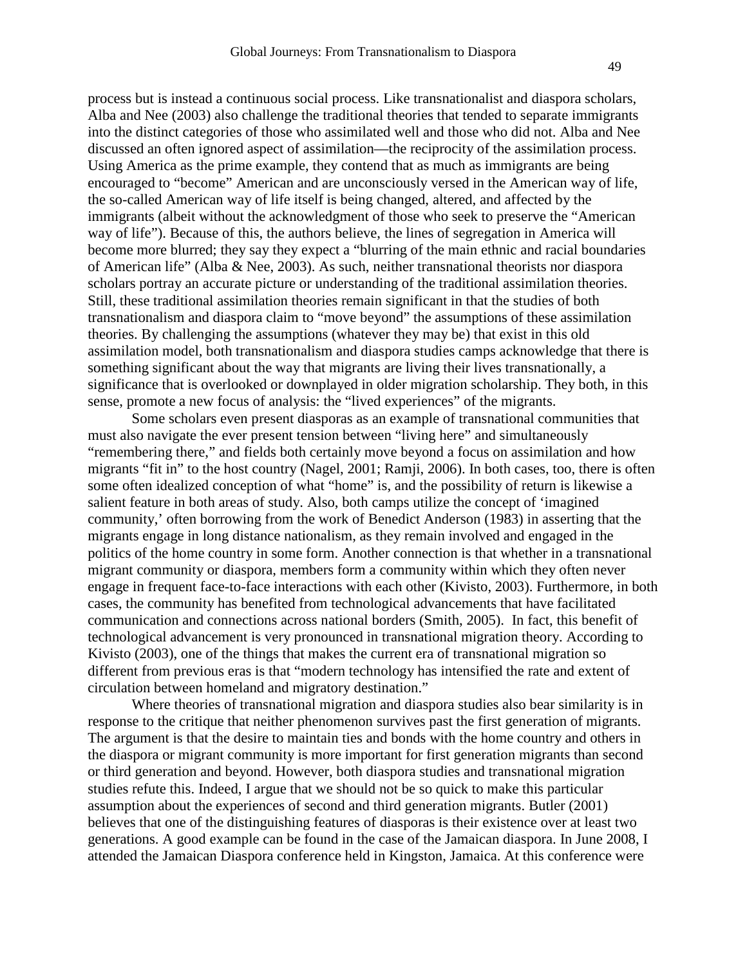process but is instead a continuous social process. Like transnationalist and diaspora scholars, Alba and Nee (2003) also challenge the traditional theories that tended to separate immigrants into the distinct categories of those who assimilated well and those who did not. Alba and Nee discussed an often ignored aspect of assimilation—the reciprocity of the assimilation process. Using America as the prime example, they contend that as much as immigrants are being encouraged to "become" American and are unconsciously versed in the American way of life, the so-called American way of life itself is being changed, altered, and affected by the immigrants (albeit without the acknowledgment of those who seek to preserve the "American way of life"). Because of this, the authors believe, the lines of segregation in America will become more blurred; they say they expect a "blurring of the main ethnic and racial boundaries of American life" (Alba & Nee, 2003). As such, neither transnational theorists nor diaspora scholars portray an accurate picture or understanding of the traditional assimilation theories. Still, these traditional assimilation theories remain significant in that the studies of both transnationalism and diaspora claim to "move beyond" the assumptions of these assimilation theories. By challenging the assumptions (whatever they may be) that exist in this old assimilation model, both transnationalism and diaspora studies camps acknowledge that there is something significant about the way that migrants are living their lives transnationally, a significance that is overlooked or downplayed in older migration scholarship. They both, in this sense, promote a new focus of analysis: the "lived experiences" of the migrants.

Some scholars even present diasporas as an example of transnational communities that must also navigate the ever present tension between "living here" and simultaneously "remembering there," and fields both certainly move beyond a focus on assimilation and how migrants "fit in" to the host country (Nagel, 2001; Ramji, 2006). In both cases, too, there is often some often idealized conception of what "home" is, and the possibility of return is likewise a salient feature in both areas of study. Also, both camps utilize the concept of 'imagined community,' often borrowing from the work of Benedict Anderson (1983) in asserting that the migrants engage in long distance nationalism, as they remain involved and engaged in the politics of the home country in some form. Another connection is that whether in a transnational migrant community or diaspora, members form a community within which they often never engage in frequent face-to-face interactions with each other (Kivisto, 2003). Furthermore, in both cases, the community has benefited from technological advancements that have facilitated communication and connections across national borders (Smith, 2005). In fact, this benefit of technological advancement is very pronounced in transnational migration theory. According to Kivisto (2003), one of the things that makes the current era of transnational migration so different from previous eras is that "modern technology has intensified the rate and extent of circulation between homeland and migratory destination."

Where theories of transnational migration and diaspora studies also bear similarity is in response to the critique that neither phenomenon survives past the first generation of migrants. The argument is that the desire to maintain ties and bonds with the home country and others in the diaspora or migrant community is more important for first generation migrants than second or third generation and beyond. However, both diaspora studies and transnational migration studies refute this. Indeed, I argue that we should not be so quick to make this particular assumption about the experiences of second and third generation migrants. Butler (2001) believes that one of the distinguishing features of diasporas is their existence over at least two generations. A good example can be found in the case of the Jamaican diaspora. In June 2008, I attended the Jamaican Diaspora conference held in Kingston, Jamaica. At this conference were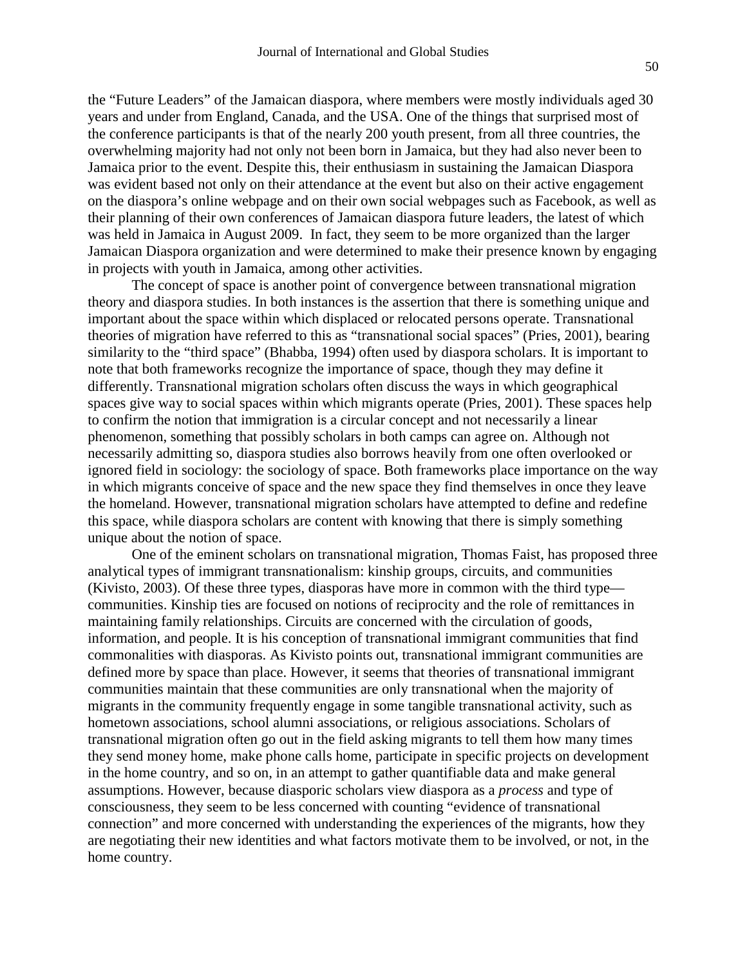the "Future Leaders" of the Jamaican diaspora, where members were mostly individuals aged 30 years and under from England, Canada, and the USA. One of the things that surprised most of the conference participants is that of the nearly 200 youth present, from all three countries, the overwhelming majority had not only not been born in Jamaica, but they had also never been to Jamaica prior to the event. Despite this, their enthusiasm in sustaining the Jamaican Diaspora was evident based not only on their attendance at the event but also on their active engagement on the diaspora's online webpage and on their own social webpages such as Facebook, as well as their planning of their own conferences of Jamaican diaspora future leaders, the latest of which was held in Jamaica in August 2009. In fact, they seem to be more organized than the larger Jamaican Diaspora organization and were determined to make their presence known by engaging in projects with youth in Jamaica, among other activities.

The concept of space is another point of convergence between transnational migration theory and diaspora studies. In both instances is the assertion that there is something unique and important about the space within which displaced or relocated persons operate. Transnational theories of migration have referred to this as "transnational social spaces" (Pries, 2001), bearing similarity to the "third space" (Bhabba, 1994) often used by diaspora scholars. It is important to note that both frameworks recognize the importance of space, though they may define it differently. Transnational migration scholars often discuss the ways in which geographical spaces give way to social spaces within which migrants operate (Pries, 2001). These spaces help to confirm the notion that immigration is a circular concept and not necessarily a linear phenomenon, something that possibly scholars in both camps can agree on. Although not necessarily admitting so, diaspora studies also borrows heavily from one often overlooked or ignored field in sociology: the sociology of space. Both frameworks place importance on the way in which migrants conceive of space and the new space they find themselves in once they leave the homeland. However, transnational migration scholars have attempted to define and redefine this space, while diaspora scholars are content with knowing that there is simply something unique about the notion of space.

One of the eminent scholars on transnational migration, Thomas Faist, has proposed three analytical types of immigrant transnationalism: kinship groups, circuits, and communities (Kivisto, 2003). Of these three types, diasporas have more in common with the third type communities. Kinship ties are focused on notions of reciprocity and the role of remittances in maintaining family relationships. Circuits are concerned with the circulation of goods, information, and people. It is his conception of transnational immigrant communities that find commonalities with diasporas. As Kivisto points out, transnational immigrant communities are defined more by space than place. However, it seems that theories of transnational immigrant communities maintain that these communities are only transnational when the majority of migrants in the community frequently engage in some tangible transnational activity, such as hometown associations, school alumni associations, or religious associations. Scholars of transnational migration often go out in the field asking migrants to tell them how many times they send money home, make phone calls home, participate in specific projects on development in the home country, and so on, in an attempt to gather quantifiable data and make general assumptions. However, because diasporic scholars view diaspora as a *process* and type of consciousness, they seem to be less concerned with counting "evidence of transnational connection" and more concerned with understanding the experiences of the migrants, how they are negotiating their new identities and what factors motivate them to be involved, or not, in the home country.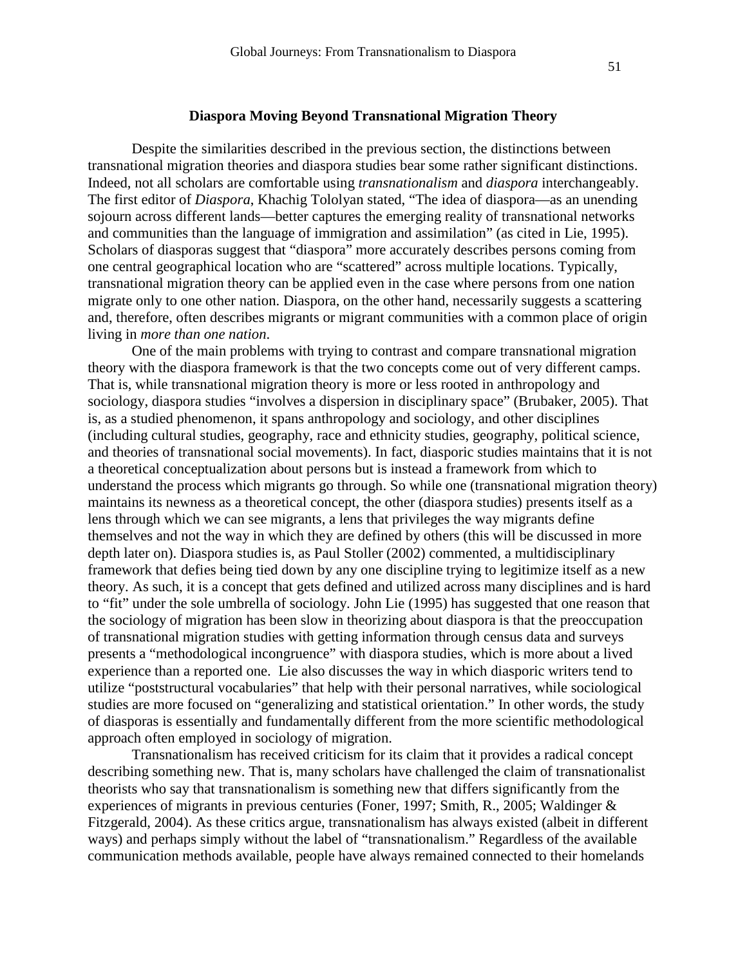#### **Diaspora Moving Beyond Transnational Migration Theory**

Despite the similarities described in the previous section, the distinctions between transnational migration theories and diaspora studies bear some rather significant distinctions. Indeed, not all scholars are comfortable using *transnationalism* and *diaspora* interchangeably. The first editor of *Diaspora*, Khachig Tololyan stated, "The idea of diaspora—as an unending sojourn across different lands—better captures the emerging reality of transnational networks and communities than the language of immigration and assimilation" (as cited in Lie, 1995). Scholars of diasporas suggest that "diaspora" more accurately describes persons coming from one central geographical location who are "scattered" across multiple locations. Typically, transnational migration theory can be applied even in the case where persons from one nation migrate only to one other nation. Diaspora, on the other hand, necessarily suggests a scattering and, therefore, often describes migrants or migrant communities with a common place of origin living in *more than one nation*.

One of the main problems with trying to contrast and compare transnational migration theory with the diaspora framework is that the two concepts come out of very different camps. That is, while transnational migration theory is more or less rooted in anthropology and sociology, diaspora studies "involves a dispersion in disciplinary space" (Brubaker, 2005). That is, as a studied phenomenon, it spans anthropology and sociology, and other disciplines (including cultural studies, geography, race and ethnicity studies, geography, political science, and theories of transnational social movements). In fact, diasporic studies maintains that it is not a theoretical conceptualization about persons but is instead a framework from which to understand the process which migrants go through. So while one (transnational migration theory) maintains its newness as a theoretical concept, the other (diaspora studies) presents itself as a lens through which we can see migrants, a lens that privileges the way migrants define themselves and not the way in which they are defined by others (this will be discussed in more depth later on). Diaspora studies is, as Paul Stoller (2002) commented, a multidisciplinary framework that defies being tied down by any one discipline trying to legitimize itself as a new theory. As such, it is a concept that gets defined and utilized across many disciplines and is hard to "fit" under the sole umbrella of sociology. John Lie (1995) has suggested that one reason that the sociology of migration has been slow in theorizing about diaspora is that the preoccupation of transnational migration studies with getting information through census data and surveys presents a "methodological incongruence" with diaspora studies, which is more about a lived experience than a reported one. Lie also discusses the way in which diasporic writers tend to utilize "poststructural vocabularies" that help with their personal narratives, while sociological studies are more focused on "generalizing and statistical orientation." In other words, the study of diasporas is essentially and fundamentally different from the more scientific methodological approach often employed in sociology of migration.

Transnationalism has received criticism for its claim that it provides a radical concept describing something new. That is, many scholars have challenged the claim of transnationalist theorists who say that transnationalism is something new that differs significantly from the experiences of migrants in previous centuries (Foner, 1997; Smith, R., 2005; Waldinger & Fitzgerald, 2004). As these critics argue, transnationalism has always existed (albeit in different ways) and perhaps simply without the label of "transnationalism." Regardless of the available communication methods available, people have always remained connected to their homelands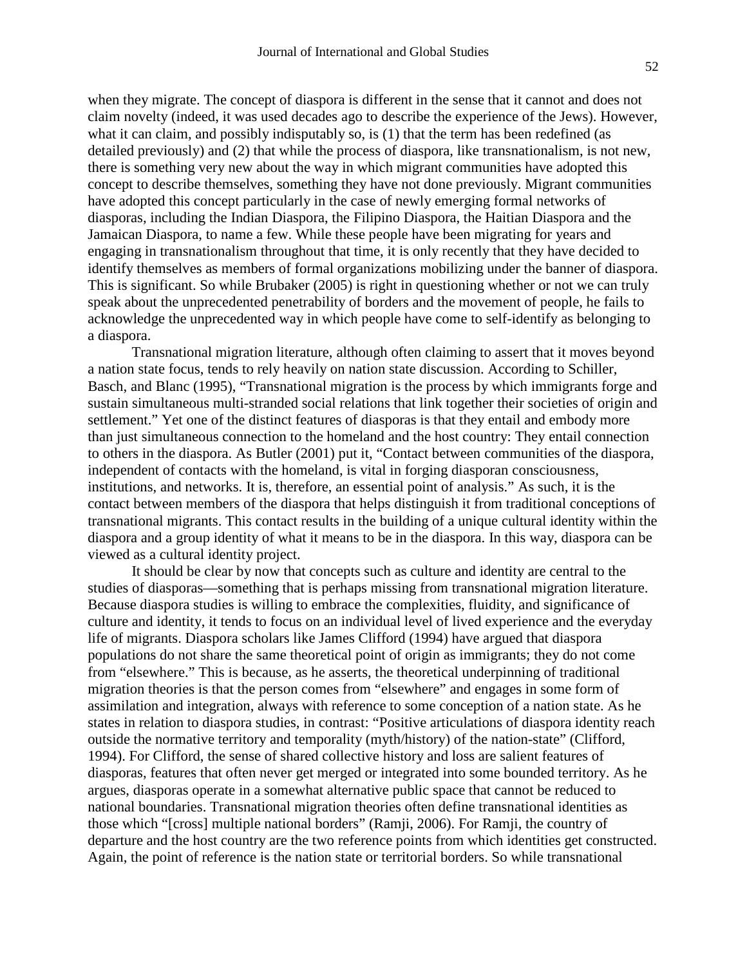when they migrate. The concept of diaspora is different in the sense that it cannot and does not claim novelty (indeed, it was used decades ago to describe the experience of the Jews). However, what it can claim, and possibly indisputably so, is (1) that the term has been redefined (as detailed previously) and (2) that while the process of diaspora, like transnationalism, is not new, there is something very new about the way in which migrant communities have adopted this concept to describe themselves, something they have not done previously. Migrant communities have adopted this concept particularly in the case of newly emerging formal networks of diasporas, including the Indian Diaspora, the Filipino Diaspora, the Haitian Diaspora and the Jamaican Diaspora, to name a few. While these people have been migrating for years and engaging in transnationalism throughout that time, it is only recently that they have decided to identify themselves as members of formal organizations mobilizing under the banner of diaspora. This is significant. So while Brubaker (2005) is right in questioning whether or not we can truly speak about the unprecedented penetrability of borders and the movement of people, he fails to acknowledge the unprecedented way in which people have come to self-identify as belonging to a diaspora.

Transnational migration literature, although often claiming to assert that it moves beyond a nation state focus, tends to rely heavily on nation state discussion. According to Schiller, Basch, and Blanc (1995), "Transnational migration is the process by which immigrants forge and sustain simultaneous multi-stranded social relations that link together their societies of origin and settlement." Yet one of the distinct features of diasporas is that they entail and embody more than just simultaneous connection to the homeland and the host country: They entail connection to others in the diaspora. As Butler (2001) put it, "Contact between communities of the diaspora, independent of contacts with the homeland, is vital in forging diasporan consciousness, institutions, and networks. It is, therefore, an essential point of analysis." As such, it is the contact between members of the diaspora that helps distinguish it from traditional conceptions of transnational migrants. This contact results in the building of a unique cultural identity within the diaspora and a group identity of what it means to be in the diaspora. In this way, diaspora can be viewed as a cultural identity project.

It should be clear by now that concepts such as culture and identity are central to the studies of diasporas—something that is perhaps missing from transnational migration literature. Because diaspora studies is willing to embrace the complexities, fluidity, and significance of culture and identity, it tends to focus on an individual level of lived experience and the everyday life of migrants. Diaspora scholars like James Clifford (1994) have argued that diaspora populations do not share the same theoretical point of origin as immigrants; they do not come from "elsewhere." This is because, as he asserts, the theoretical underpinning of traditional migration theories is that the person comes from "elsewhere" and engages in some form of assimilation and integration, always with reference to some conception of a nation state. As he states in relation to diaspora studies, in contrast: "Positive articulations of diaspora identity reach outside the normative territory and temporality (myth/history) of the nation-state" (Clifford, 1994). For Clifford, the sense of shared collective history and loss are salient features of diasporas, features that often never get merged or integrated into some bounded territory. As he argues, diasporas operate in a somewhat alternative public space that cannot be reduced to national boundaries. Transnational migration theories often define transnational identities as those which "[cross] multiple national borders" (Ramji, 2006). For Ramji, the country of departure and the host country are the two reference points from which identities get constructed. Again, the point of reference is the nation state or territorial borders. So while transnational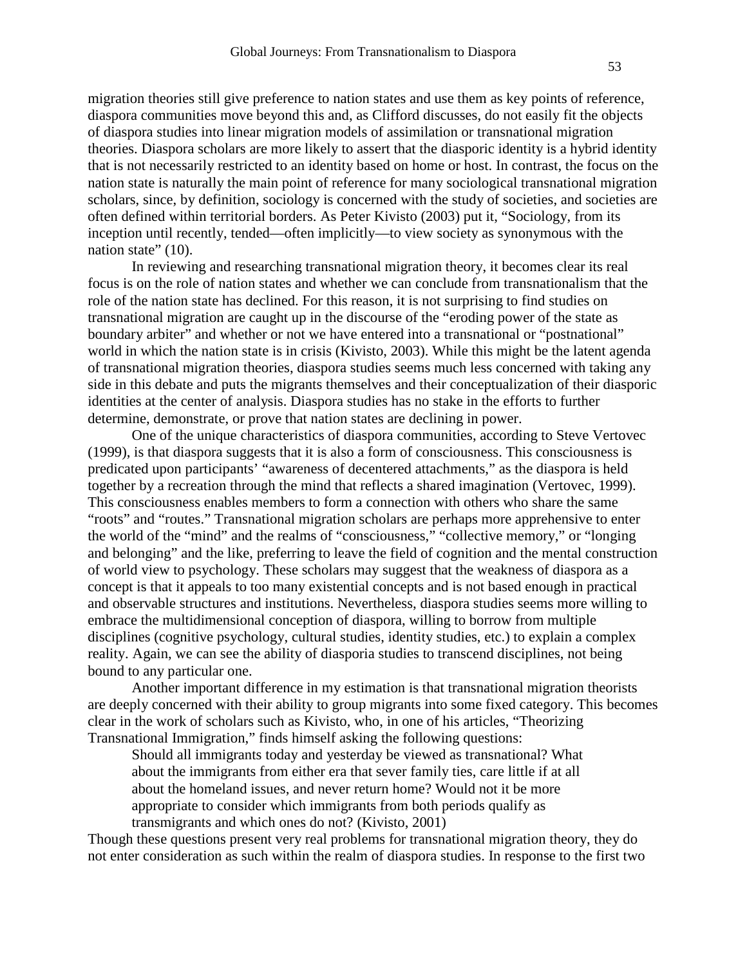migration theories still give preference to nation states and use them as key points of reference, diaspora communities move beyond this and, as Clifford discusses, do not easily fit the objects of diaspora studies into linear migration models of assimilation or transnational migration theories. Diaspora scholars are more likely to assert that the diasporic identity is a hybrid identity that is not necessarily restricted to an identity based on home or host. In contrast, the focus on the nation state is naturally the main point of reference for many sociological transnational migration scholars, since, by definition, sociology is concerned with the study of societies, and societies are often defined within territorial borders. As Peter Kivisto (2003) put it, "Sociology, from its inception until recently, tended—often implicitly—to view society as synonymous with the nation state" (10).

In reviewing and researching transnational migration theory, it becomes clear its real focus is on the role of nation states and whether we can conclude from transnationalism that the role of the nation state has declined. For this reason, it is not surprising to find studies on transnational migration are caught up in the discourse of the "eroding power of the state as boundary arbiter" and whether or not we have entered into a transnational or "postnational" world in which the nation state is in crisis (Kivisto, 2003). While this might be the latent agenda of transnational migration theories, diaspora studies seems much less concerned with taking any side in this debate and puts the migrants themselves and their conceptualization of their diasporic identities at the center of analysis. Diaspora studies has no stake in the efforts to further determine, demonstrate, or prove that nation states are declining in power.

One of the unique characteristics of diaspora communities, according to Steve Vertovec (1999), is that diaspora suggests that it is also a form of consciousness. This consciousness is predicated upon participants' "awareness of decentered attachments," as the diaspora is held together by a recreation through the mind that reflects a shared imagination (Vertovec, 1999). This consciousness enables members to form a connection with others who share the same "roots" and "routes." Transnational migration scholars are perhaps more apprehensive to enter the world of the "mind" and the realms of "consciousness," "collective memory," or "longing and belonging" and the like, preferring to leave the field of cognition and the mental construction of world view to psychology. These scholars may suggest that the weakness of diaspora as a concept is that it appeals to too many existential concepts and is not based enough in practical and observable structures and institutions. Nevertheless, diaspora studies seems more willing to embrace the multidimensional conception of diaspora, willing to borrow from multiple disciplines (cognitive psychology, cultural studies, identity studies, etc.) to explain a complex reality. Again, we can see the ability of diasporia studies to transcend disciplines, not being bound to any particular one.

Another important difference in my estimation is that transnational migration theorists are deeply concerned with their ability to group migrants into some fixed category. This becomes clear in the work of scholars such as Kivisto, who, in one of his articles, "Theorizing Transnational Immigration," finds himself asking the following questions:

Should all immigrants today and yesterday be viewed as transnational? What about the immigrants from either era that sever family ties, care little if at all about the homeland issues, and never return home? Would not it be more appropriate to consider which immigrants from both periods qualify as transmigrants and which ones do not? (Kivisto, 2001)

Though these questions present very real problems for transnational migration theory, they do not enter consideration as such within the realm of diaspora studies. In response to the first two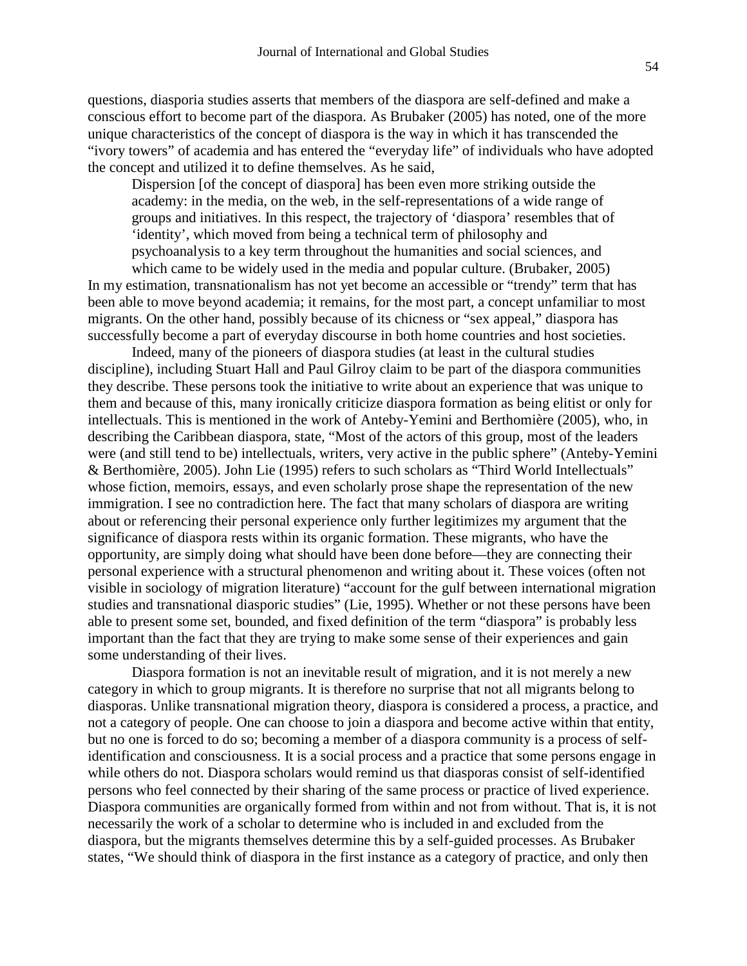questions, diasporia studies asserts that members of the diaspora are self-defined and make a conscious effort to become part of the diaspora. As Brubaker (2005) has noted, one of the more unique characteristics of the concept of diaspora is the way in which it has transcended the "ivory towers" of academia and has entered the "everyday life" of individuals who have adopted the concept and utilized it to define themselves. As he said,

Dispersion [of the concept of diaspora] has been even more striking outside the academy: in the media, on the web, in the self-representations of a wide range of groups and initiatives. In this respect, the trajectory of 'diaspora' resembles that of 'identity', which moved from being a technical term of philosophy and psychoanalysis to a key term throughout the humanities and social sciences, and

which came to be widely used in the media and popular culture. (Brubaker, 2005) In my estimation, transnationalism has not yet become an accessible or "trendy" term that has been able to move beyond academia; it remains, for the most part, a concept unfamiliar to most migrants. On the other hand, possibly because of its chicness or "sex appeal," diaspora has successfully become a part of everyday discourse in both home countries and host societies.

Indeed, many of the pioneers of diaspora studies (at least in the cultural studies discipline), including Stuart Hall and Paul Gilroy claim to be part of the diaspora communities they describe. These persons took the initiative to write about an experience that was unique to them and because of this, many ironically criticize diaspora formation as being elitist or only for intellectuals. This is mentioned in the work of Anteby-Yemini and Berthomière (2005), who, in describing the Caribbean diaspora, state, "Most of the actors of this group, most of the leaders were (and still tend to be) intellectuals, writers, very active in the public sphere" (Anteby-Yemini & Berthomière, 2005). John Lie (1995) refers to such scholars as "Third World Intellectuals" whose fiction, memoirs, essays, and even scholarly prose shape the representation of the new immigration. I see no contradiction here. The fact that many scholars of diaspora are writing about or referencing their personal experience only further legitimizes my argument that the significance of diaspora rests within its organic formation. These migrants, who have the opportunity, are simply doing what should have been done before—they are connecting their personal experience with a structural phenomenon and writing about it. These voices (often not visible in sociology of migration literature) "account for the gulf between international migration studies and transnational diasporic studies" (Lie, 1995). Whether or not these persons have been able to present some set, bounded, and fixed definition of the term "diaspora" is probably less important than the fact that they are trying to make some sense of their experiences and gain some understanding of their lives.

Diaspora formation is not an inevitable result of migration, and it is not merely a new category in which to group migrants. It is therefore no surprise that not all migrants belong to diasporas. Unlike transnational migration theory, diaspora is considered a process, a practice, and not a category of people. One can choose to join a diaspora and become active within that entity, but no one is forced to do so; becoming a member of a diaspora community is a process of selfidentification and consciousness. It is a social process and a practice that some persons engage in while others do not. Diaspora scholars would remind us that diasporas consist of self-identified persons who feel connected by their sharing of the same process or practice of lived experience. Diaspora communities are organically formed from within and not from without. That is, it is not necessarily the work of a scholar to determine who is included in and excluded from the diaspora, but the migrants themselves determine this by a self-guided processes. As Brubaker states, "We should think of diaspora in the first instance as a category of practice, and only then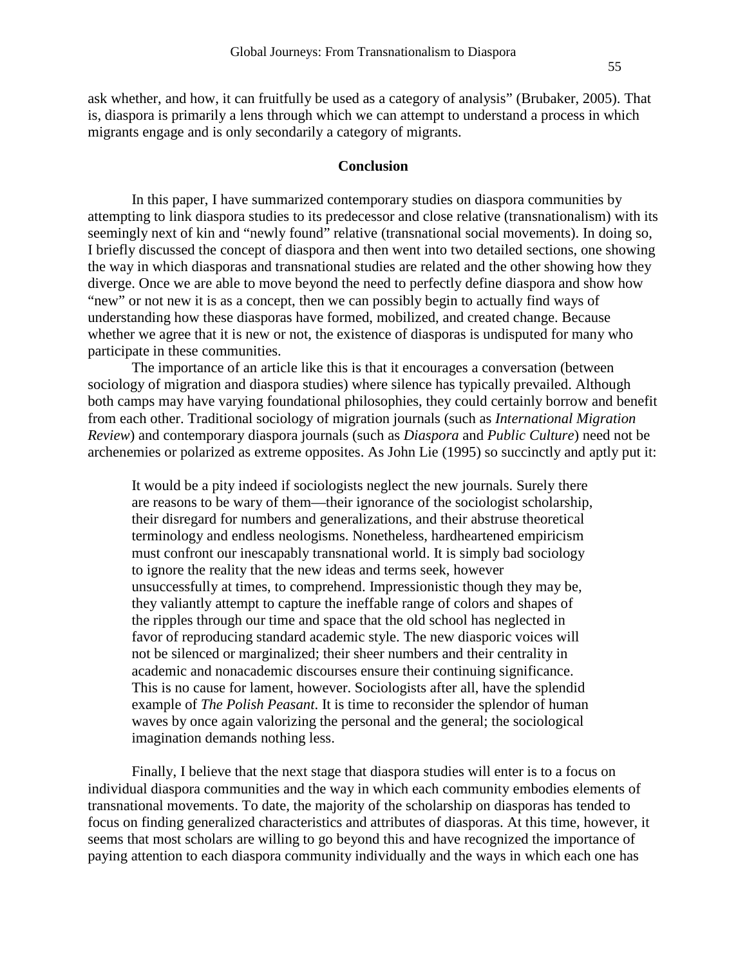ask whether, and how, it can fruitfully be used as a category of analysis" (Brubaker, 2005). That is, diaspora is primarily a lens through which we can attempt to understand a process in which migrants engage and is only secondarily a category of migrants.

#### **Conclusion**

In this paper, I have summarized contemporary studies on diaspora communities by attempting to link diaspora studies to its predecessor and close relative (transnationalism) with its seemingly next of kin and "newly found" relative (transnational social movements). In doing so, I briefly discussed the concept of diaspora and then went into two detailed sections, one showing the way in which diasporas and transnational studies are related and the other showing how they diverge. Once we are able to move beyond the need to perfectly define diaspora and show how "new" or not new it is as a concept, then we can possibly begin to actually find ways of understanding how these diasporas have formed, mobilized, and created change. Because whether we agree that it is new or not, the existence of diasporas is undisputed for many who participate in these communities.

The importance of an article like this is that it encourages a conversation (between sociology of migration and diaspora studies) where silence has typically prevailed. Although both camps may have varying foundational philosophies, they could certainly borrow and benefit from each other. Traditional sociology of migration journals (such as *International Migration Review*) and contemporary diaspora journals (such as *Diaspora* and *Public Culture*) need not be archenemies or polarized as extreme opposites. As John Lie (1995) so succinctly and aptly put it:

It would be a pity indeed if sociologists neglect the new journals. Surely there are reasons to be wary of them—their ignorance of the sociologist scholarship, their disregard for numbers and generalizations, and their abstruse theoretical terminology and endless neologisms. Nonetheless, hardheartened empiricism must confront our inescapably transnational world. It is simply bad sociology to ignore the reality that the new ideas and terms seek, however unsuccessfully at times, to comprehend. Impressionistic though they may be, they valiantly attempt to capture the ineffable range of colors and shapes of the ripples through our time and space that the old school has neglected in favor of reproducing standard academic style. The new diasporic voices will not be silenced or marginalized; their sheer numbers and their centrality in academic and nonacademic discourses ensure their continuing significance. This is no cause for lament, however. Sociologists after all, have the splendid example of *The Polish Peasant*. It is time to reconsider the splendor of human waves by once again valorizing the personal and the general; the sociological imagination demands nothing less.

Finally, I believe that the next stage that diaspora studies will enter is to a focus on individual diaspora communities and the way in which each community embodies elements of transnational movements. To date, the majority of the scholarship on diasporas has tended to focus on finding generalized characteristics and attributes of diasporas. At this time, however, it seems that most scholars are willing to go beyond this and have recognized the importance of paying attention to each diaspora community individually and the ways in which each one has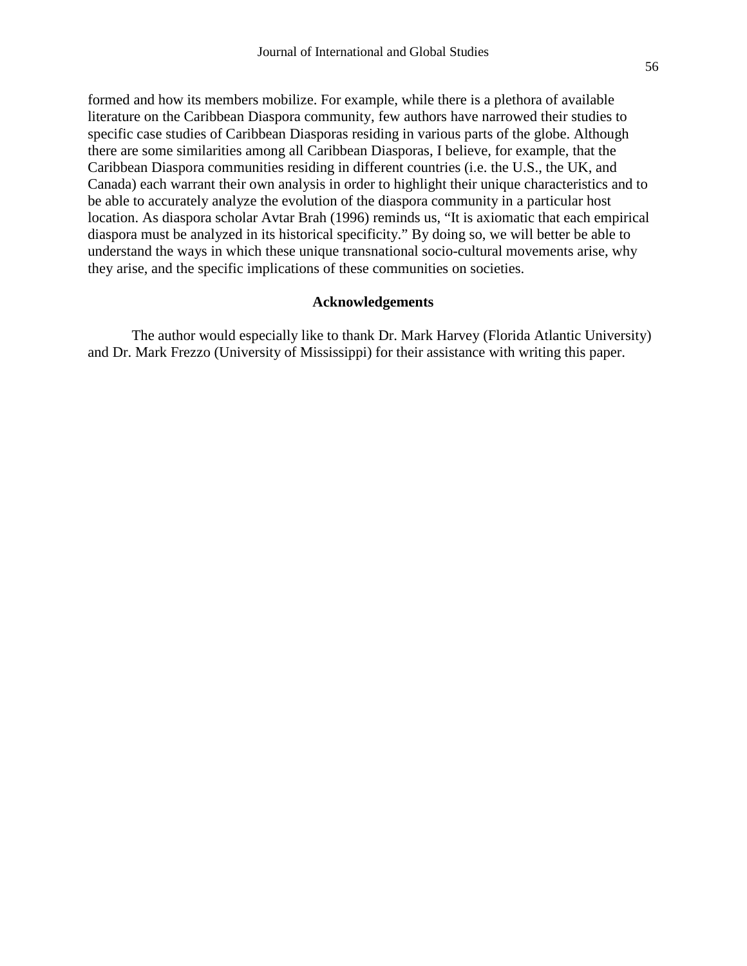formed and how its members mobilize. For example, while there is a plethora of available literature on the Caribbean Diaspora community, few authors have narrowed their studies to specific case studies of Caribbean Diasporas residing in various parts of the globe. Although there are some similarities among all Caribbean Diasporas, I believe, for example, that the Caribbean Diaspora communities residing in different countries (i.e. the U.S., the UK, and Canada) each warrant their own analysis in order to highlight their unique characteristics and to be able to accurately analyze the evolution of the diaspora community in a particular host location. As diaspora scholar Avtar Brah (1996) reminds us, "It is axiomatic that each empirical diaspora must be analyzed in its historical specificity." By doing so, we will better be able to understand the ways in which these unique transnational socio-cultural movements arise, why they arise, and the specific implications of these communities on societies.

#### **Acknowledgements**

The author would especially like to thank Dr. Mark Harvey (Florida Atlantic University) and Dr. Mark Frezzo (University of Mississippi) for their assistance with writing this paper.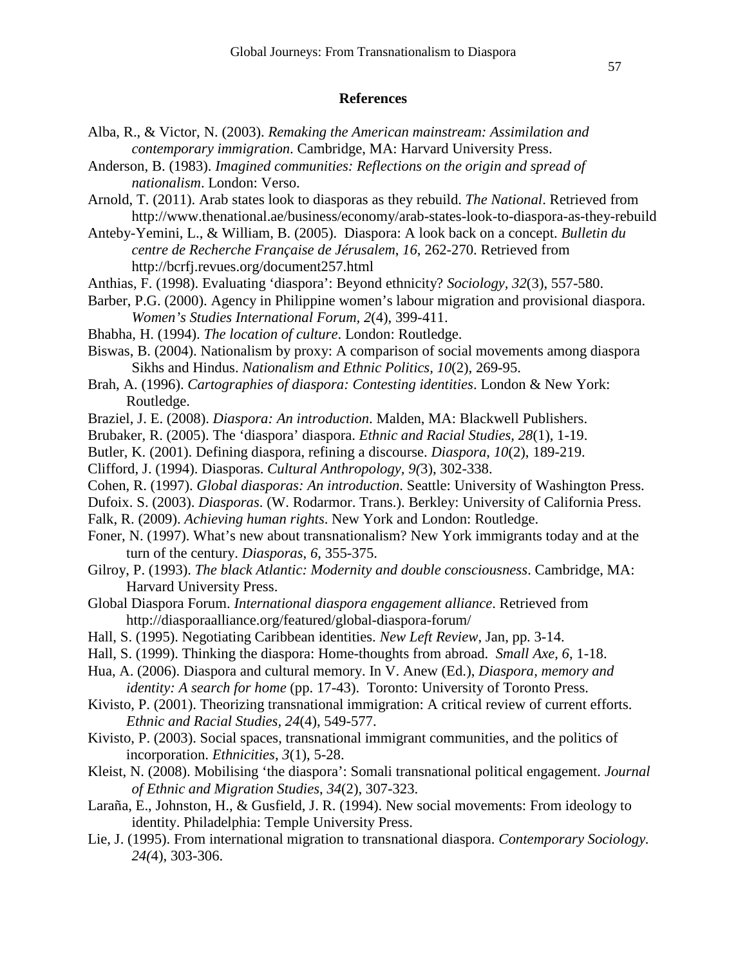#### **References**

- Alba, R., & Victor, N. (2003). *Remaking the American mainstream: Assimilation and contemporary immigration*. Cambridge, MA: Harvard University Press.
- Anderson, B. (1983). *Imagined communities: Reflections on the origin and spread of nationalism*. London: Verso.
- Arnold, T. (2011). Arab states look to diasporas as they rebuild. *The National*. Retrieved from http://www.thenational.ae/business/economy/arab-states-look-to-diaspora-as-they-rebuild
- Anteby-Yemini, L., & William, B. (2005). Diaspora: A look back on a concept. *Bulletin du centre de Recherche Française de Jérusalem*, *16*, 262-270. Retrieved from http://bcrfj.revues.org/document257.html
- Anthias, F. (1998). Evaluating 'diaspora': Beyond ethnicity? *Sociology, 32*(3), 557-580.
- Barber, P.G. (2000). Agency in Philippine women's labour migration and provisional diaspora. *Women's Studies International Forum, 2*(4), 399-411.
- [Bhabha, H.](http://www.postcolonialweb.org/poldiscourse/bhabha/bhabhaov.html) (1994). *The location of culture*. London: Routledge.
- Biswas, B. (2004). Nationalism by proxy: A comparison of social movements among diaspora Sikhs and Hindus. *Nationalism and Ethnic Politics, 10*(2), 269-95.
- Brah, A. (1996). *Cartographies of diaspora: Contesting identities*. London & New York: Routledge.
- Braziel, J. E. (2008). *Diaspora: An introduction*. Malden, MA: Blackwell Publishers.
- Brubaker, R. (2005). The 'diaspora' diaspora. *Ethnic and Racial Studies, 28*(1), 1-19.
- Butler, K. (2001). Defining diaspora, refining a discourse. *Diaspora*, *10*(2), 189-219.
- Clifford, J. (1994). Diasporas. *Cultural Anthropology, 9(*3), 302-338.
- Cohen, R. (1997). *Global diasporas: An introduction*. Seattle: University of Washington Press.
- Dufoix. S. (2003). *Diasporas*. (W. Rodarmor. Trans.). Berkley: University of California Press.
- Falk, R. (2009). *Achieving human rights*. New York and London: Routledge.
- Foner, N. (1997). What's new about transnationalism? New York immigrants today and at the turn of the century. *Diasporas*, *6*, 355-375.
- Gilroy, P. (1993). *The black Atlantic: Modernity and double consciousness*. Cambridge, MA: Harvard University Press.
- Global Diaspora Forum. *International diaspora engagement alliance*. Retrieved from http://diasporaalliance.org/featured/global-diaspora-forum/
- Hall, S. (1995). Negotiating Caribbean identities. *New Left Review*, Jan, pp. 3-14.
- Hall, S. (1999). Thinking the diaspora: Home-thoughts from abroad. *Small Axe, 6*, 1-18.
- Hua, A. (2006). Diaspora and cultural memory. In V. Anew (Ed.), *Diaspora, memory and identity: A search for home* (pp. 17-43). Toronto: University of Toronto Press.
- Kivisto, P. (2001). Theorizing transnational immigration: A critical review of current efforts. *Ethnic and Racial Studies, 24*(4), 549-577.
- Kivisto, P. (2003). Social spaces, transnational immigrant communities, and the politics of incorporation. *Ethnicities*, *3*(1), 5-28.
- Kleist, N. (2008). Mobilising 'the diaspora': Somali transnational political engagement. *Journal of Ethnic and Migration Studies*, *34*(2), 307-323.
- Laraña, E., Johnston, H., & Gusfield, J. R. (1994). New social movements: From ideology to identity. Philadelphia: Temple University Press.
- Lie, J. (1995). From international migration to transnational diaspora. *Contemporary Sociology. 24(*4), 303-306.